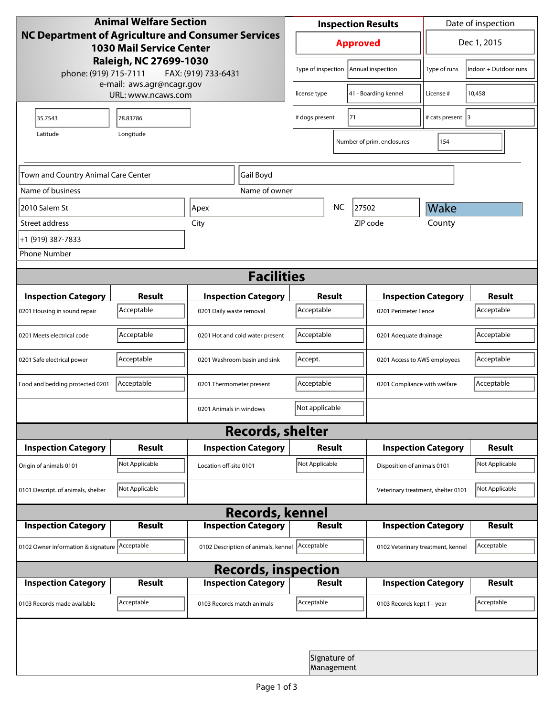| <b>Animal Welfare Section</b>                                                                |                                                 |                                     |                                            | <b>Inspection Results</b>               |                                    |                             | Date of inspection    |  |  |
|----------------------------------------------------------------------------------------------|-------------------------------------------------|-------------------------------------|--------------------------------------------|-----------------------------------------|------------------------------------|-----------------------------|-----------------------|--|--|
| <b>NC Department of Agriculture and Consumer Services</b><br><b>1030 Mail Service Center</b> |                                                 |                                     |                                            | <b>Approved</b>                         |                                    |                             | Dec 1, 2015           |  |  |
| phone: (919) 715-7111                                                                        | Raleigh, NC 27699-1030                          | FAX: (919) 733-6431                 |                                            | Type of inspection<br>Annual inspection |                                    | Type of runs                | Indoor + Outdoor runs |  |  |
|                                                                                              | e-mail: aws.agr@ncagr.gov<br>URL: www.ncaws.com | license type                        |                                            | 41 - Boarding kennel                    | License #                          | 10,458                      |                       |  |  |
| 35.7543                                                                                      | 78.83786                                        |                                     |                                            | 71<br># dogs present                    |                                    | # cats present 3            |                       |  |  |
| Latitude                                                                                     | Longitude                                       |                                     |                                            |                                         | Number of prim. enclosures         | 154                         |                       |  |  |
| Town and Country Animal Care Center                                                          |                                                 | Gail Boyd                           |                                            |                                         |                                    |                             |                       |  |  |
| Name of business                                                                             |                                                 | Name of owner                       |                                            |                                         |                                    |                             |                       |  |  |
| 2010 Salem St                                                                                |                                                 | Apex                                |                                            | <b>NC</b>                               | 27502                              | Wake                        |                       |  |  |
| Street address                                                                               |                                                 | City                                |                                            |                                         | ZIP code                           | County                      |                       |  |  |
| +1 (919) 387-7833                                                                            |                                                 |                                     |                                            |                                         |                                    |                             |                       |  |  |
| <b>Phone Number</b>                                                                          |                                                 |                                     |                                            |                                         |                                    |                             |                       |  |  |
| <b>Facilities</b>                                                                            |                                                 |                                     |                                            |                                         |                                    |                             |                       |  |  |
| <b>Inspection Category</b>                                                                   | <b>Result</b>                                   | <b>Inspection Category</b>          | <b>Result</b>                              |                                         |                                    | <b>Inspection Category</b>  | <b>Result</b>         |  |  |
| 0201 Housing in sound repair                                                                 | Acceptable                                      | 0201 Daily waste removal            | Acceptable                                 |                                         | 0201 Perimeter Fence               |                             | Acceptable            |  |  |
| 0201 Meets electrical code                                                                   | Acceptable                                      | 0201 Hot and cold water present     | Acceptable<br>0201 Adequate drainage       |                                         |                                    | Acceptable                  |                       |  |  |
| 0201 Safe electrical power                                                                   | Acceptable                                      | 0201 Washroom basin and sink        | Accept.<br>0201 Access to AWS employees    |                                         |                                    | Acceptable                  |                       |  |  |
| Food and bedding protected 0201                                                              | Acceptable                                      | 0201 Thermometer present            | Acceptable<br>0201 Compliance with welfare |                                         |                                    | Acceptable                  |                       |  |  |
|                                                                                              |                                                 | 0201 Animals in windows             | Not applicable                             |                                         |                                    |                             |                       |  |  |
| <b>Records, shelter</b>                                                                      |                                                 |                                     |                                            |                                         |                                    |                             |                       |  |  |
| <b>Inspection Category</b>                                                                   | <b>Result</b>                                   | <b>Inspection Category</b>          | Result                                     |                                         |                                    | <b>Inspection Category</b>  | <b>Result</b>         |  |  |
| Origin of animals 0101                                                                       | Not Applicable                                  | Location off-site 0101              | Not Applicable                             |                                         |                                    | Disposition of animals 0101 |                       |  |  |
| 0101 Descript. of animals, shelter                                                           | Not Applicable                                  |                                     |                                            |                                         | Veterinary treatment, shelter 0101 |                             | Not Applicable        |  |  |
| <b>Records, kennel</b>                                                                       |                                                 |                                     |                                            |                                         |                                    |                             |                       |  |  |
| <b>Inspection Category</b>                                                                   | Result                                          | <b>Inspection Category</b>          | <b>Result</b>                              |                                         |                                    | <b>Inspection Category</b>  | Result                |  |  |
| 0102 Owner information & signature Acceptable                                                |                                                 | 0102 Description of animals, kennel | Acceptable                                 |                                         | 0102 Veterinary treatment, kennel  |                             | Acceptable            |  |  |
| <b>Records, inspection</b>                                                                   |                                                 |                                     |                                            |                                         |                                    |                             |                       |  |  |
| <b>Inspection Category</b>                                                                   | <b>Result</b>                                   | <b>Inspection Category</b>          | <b>Result</b>                              |                                         |                                    | <b>Inspection Category</b>  | <b>Result</b>         |  |  |
| 0103 Records made available                                                                  | Acceptable                                      | 0103 Records match animals          | Acceptable                                 |                                         | 0103 Records kept 1+ year          |                             | Acceptable            |  |  |
|                                                                                              |                                                 |                                     |                                            |                                         |                                    |                             |                       |  |  |
|                                                                                              |                                                 |                                     |                                            | Signature of<br>Management              |                                    |                             |                       |  |  |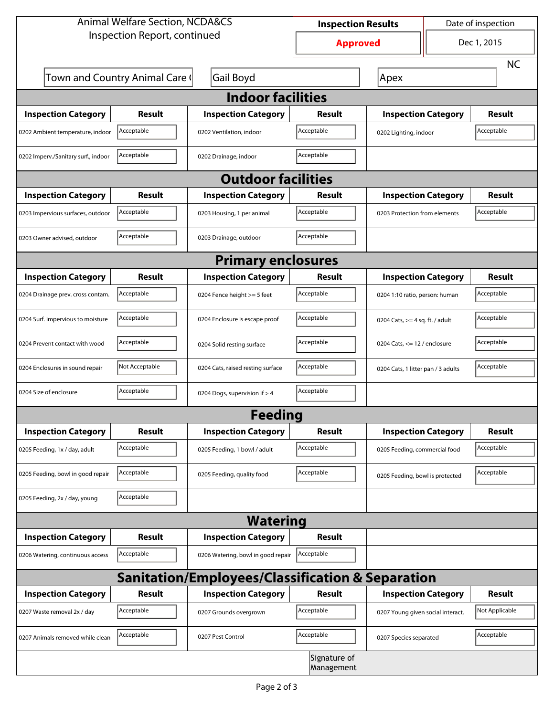| <b>Animal Welfare Section, NCDA&amp;CS</b>                  |                                |                                    | <b>Inspection Results</b> |                                     | Date of inspection |                |  |  |
|-------------------------------------------------------------|--------------------------------|------------------------------------|---------------------------|-------------------------------------|--------------------|----------------|--|--|
| Inspection Report, continued                                |                                |                                    | <b>Approved</b>           |                                     | Dec 1, 2015        |                |  |  |
|                                                             |                                |                                    |                           |                                     |                    | <b>NC</b>      |  |  |
|                                                             | Town and Country Animal Care ( | <b>Gail Boyd</b>                   |                           | Apex                                |                    |                |  |  |
| <b>Indoor facilities</b>                                    |                                |                                    |                           |                                     |                    |                |  |  |
| <b>Inspection Category</b>                                  | Result                         | <b>Inspection Category</b>         | Result                    | <b>Inspection Category</b>          |                    | Result         |  |  |
| 0202 Ambient temperature, indoor                            | Acceptable                     | 0202 Ventilation, indoor           | Acceptable                | Acceptable<br>0202 Lighting, indoor |                    |                |  |  |
| 0202 Imperv./Sanitary surf., indoor                         | Acceptable                     | 0202 Drainage, indoor              | Acceptable                |                                     |                    |                |  |  |
|                                                             |                                | <b>Outdoor facilities</b>          |                           |                                     |                    |                |  |  |
| <b>Inspection Category</b>                                  | Result                         | <b>Inspection Category</b>         | Result                    | <b>Inspection Category</b>          |                    | Result         |  |  |
| 0203 Impervious surfaces, outdoor                           | Acceptable                     | 0203 Housing, 1 per animal         | Acceptable                | 0203 Protection from elements       |                    | Acceptable     |  |  |
| 0203 Owner advised, outdoor                                 | Acceptable                     | 0203 Drainage, outdoor             | Acceptable                |                                     |                    |                |  |  |
| <b>Primary enclosures</b>                                   |                                |                                    |                           |                                     |                    |                |  |  |
| <b>Inspection Category</b>                                  | Result                         | <b>Inspection Category</b>         | Result                    | <b>Inspection Category</b>          |                    | Result         |  |  |
| 0204 Drainage prev. cross contam.                           | Acceptable                     | 0204 Fence height >= 5 feet        | Acceptable                | 0204 1:10 ratio, person: human      |                    | Acceptable     |  |  |
| 0204 Surf. impervious to moisture                           | Acceptable                     | 0204 Enclosure is escape proof     | Acceptable                | 0204 Cats, $>=$ 4 sq. ft. / adult   |                    | Acceptable     |  |  |
| 0204 Prevent contact with wood                              | Acceptable                     | 0204 Solid resting surface         | Acceptable                | 0204 Cats, $<= 12$ / enclosure      |                    | Acceptable     |  |  |
| 0204 Enclosures in sound repair                             | Not Acceptable                 | 0204 Cats, raised resting surface  | Acceptable                | 0204 Cats, 1 litter pan / 3 adults  |                    | Acceptable     |  |  |
| 0204 Size of enclosure                                      | Acceptable                     | 0204 Dogs, supervision if > 4      | Acceptable                |                                     |                    |                |  |  |
|                                                             |                                | Feeding                            |                           |                                     |                    |                |  |  |
| <b>Inspection Category</b>                                  | <b>Result</b>                  | <b>Inspection Category</b>         | <b>Result</b>             | <b>Inspection Category</b>          |                    | <b>Result</b>  |  |  |
| 0205 Feeding, 1x / day, adult                               | Acceptable                     | 0205 Feeding, 1 bowl / adult       | Acceptable                | 0205 Feeding, commercial food       |                    | Acceptable     |  |  |
| 0205 Feeding, bowl in good repair                           | Acceptable                     | 0205 Feeding, quality food         | Acceptable                | 0205 Feeding, bowl is protected     |                    | Acceptable     |  |  |
| 0205 Feeding, 2x / day, young                               | Acceptable                     |                                    |                           |                                     |                    |                |  |  |
| <b>Watering</b>                                             |                                |                                    |                           |                                     |                    |                |  |  |
| <b>Inspection Category</b>                                  | <b>Result</b>                  | <b>Inspection Category</b>         | <b>Result</b>             |                                     |                    |                |  |  |
| 0206 Watering, continuous access                            | Acceptable                     | 0206 Watering, bowl in good repair | Acceptable                |                                     |                    |                |  |  |
| <b>Sanitation/Employees/Classification &amp; Separation</b> |                                |                                    |                           |                                     |                    |                |  |  |
| <b>Inspection Category</b>                                  | <b>Result</b>                  | <b>Inspection Category</b>         | Result                    | <b>Inspection Category</b>          |                    | <b>Result</b>  |  |  |
| 0207 Waste removal 2x / day                                 | Acceptable                     | 0207 Grounds overgrown             | Acceptable                | 0207 Young given social interact.   |                    | Not Applicable |  |  |
| 0207 Animals removed while clean                            | Acceptable                     | 0207 Pest Control                  | Acceptable                | 0207 Species separated              |                    | Acceptable     |  |  |
| Signature of<br>Management                                  |                                |                                    |                           |                                     |                    |                |  |  |